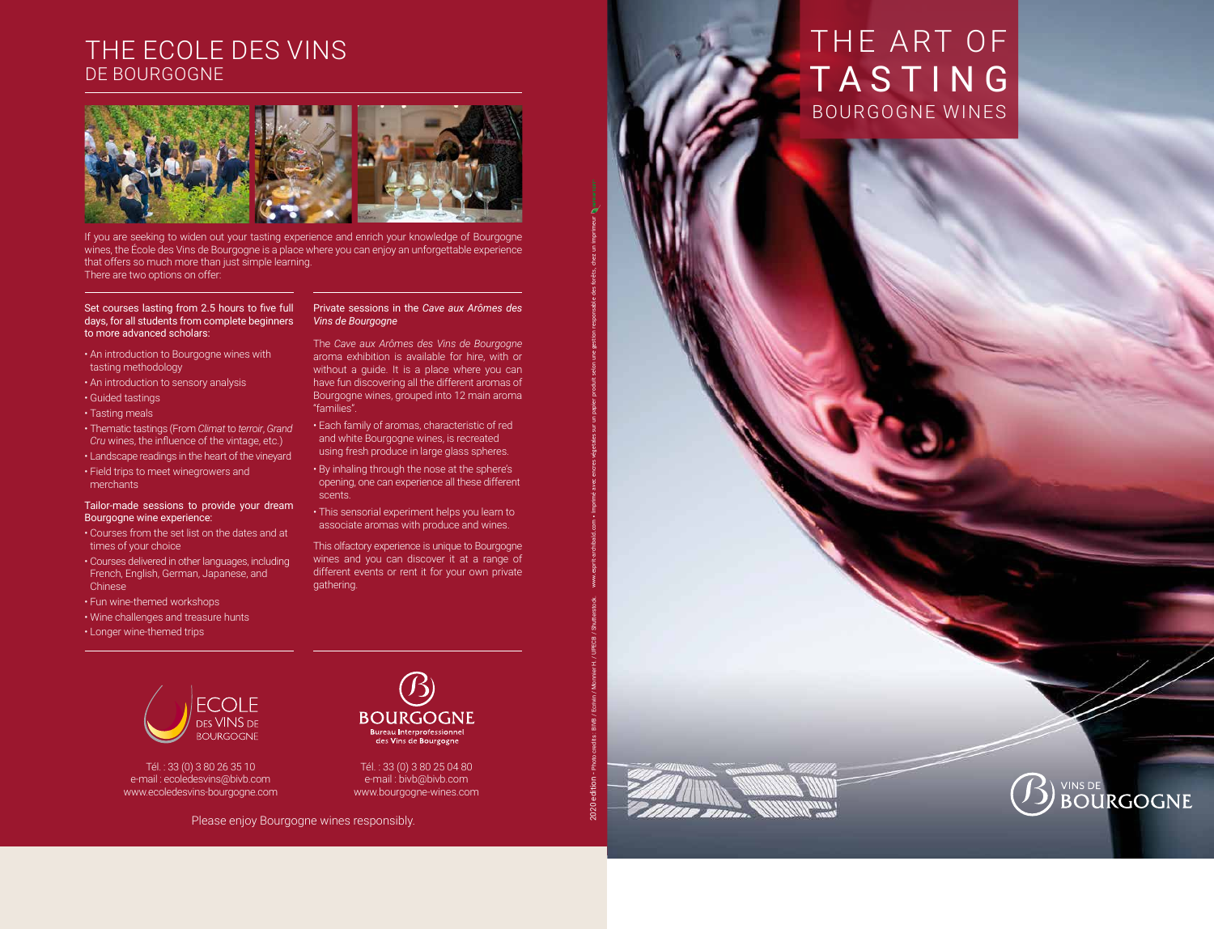Tél. : 33 (0) 3 80 26 35 10 e-mail : ecoledesvins@bivb.com www.ecoledesvins-bourgogne.com



Tél. : 33 (0) 3 80 25 04 80 e-mail : bivb@bivb.com www.bourgogne-wines.com

## THE ECOLE DES VINS DE BOURGOGNE



#### Set courses lasting from 2.5 hours to five full days, for all students from complete beginners to more advanced scholars:

- An introduction to Bourgogne wines with tasting methodology
- An introduction to sensory analysis
- Guided tastings
- Tasting meals
- Thematic tastings (From *Climat* to *terroir*, *Grand Cru* wines, the influence of the vintage, etc.)
- Landscape readings in the heart of the vineyard
- Field trips to meet winegrowers and merchants

#### Tailor-made sessions to provide your dream Bourgogne wine experience:

- Courses from the set list on the dates and at times of your choice
- Courses delivered in other languages, including French, English, German, Japanese, and **Chinese**
- Fun wine-themed workshops
- Wine challenges and treasure hunts
- Longer wine-themed trips

#### Private sessions in the *Cave aux Arômes des Vins de Bourgogne*

The *Cave aux Arômes des Vins de Bourgogne*  aroma exhibition is available for hire, with or without a guide. It is a place where you can have fun discovering all the different aromas of Bourgogne wines, grouped into 12 main aroma "families". • Each family of aromas, characteristic of red

- and white Bourgogne wines, is recreated using fresh produce in large glass spheres.
- By inhaling through the nose at the sphere's opening, one can experience all these different scents.
- This sensorial experiment helps you learn to associate aromas with produce and wines.

This olfactory experience is unique to Bourgogne wines and you can discover it at a range of different events or rent it for your own private gathering.



If you are seeking to widen out your tasting experience and enrich your knowledge of Bourgogne wines, the École des Vins de Bourgogne is a place where you can enjoy an unforgettable experience that offers so much more than just simple learning. There are two options on offer:

## INS DE **BOURGOGNE**

avec un procédé sans chlore, produit selon une gestion responsable des forêts, chez un imprimeur

2020 edition - Photo credits : BIVB / Ecrivin / Monnier H. / UPECB / Shutterstock. www.esprit-archibald.com • Imprimé avec encres végetales sur un papier produit selon une gestion responsable des forêts, chez un imprimeur

**VAS SIII** Son.

# THE ART OF TASTING BOURGOGNE WINES

ww.grandpavois.fr • RCS B 349125872 • Imprimé sur papier fabriqué à partir de fibres 100 % recyclées, désencrées